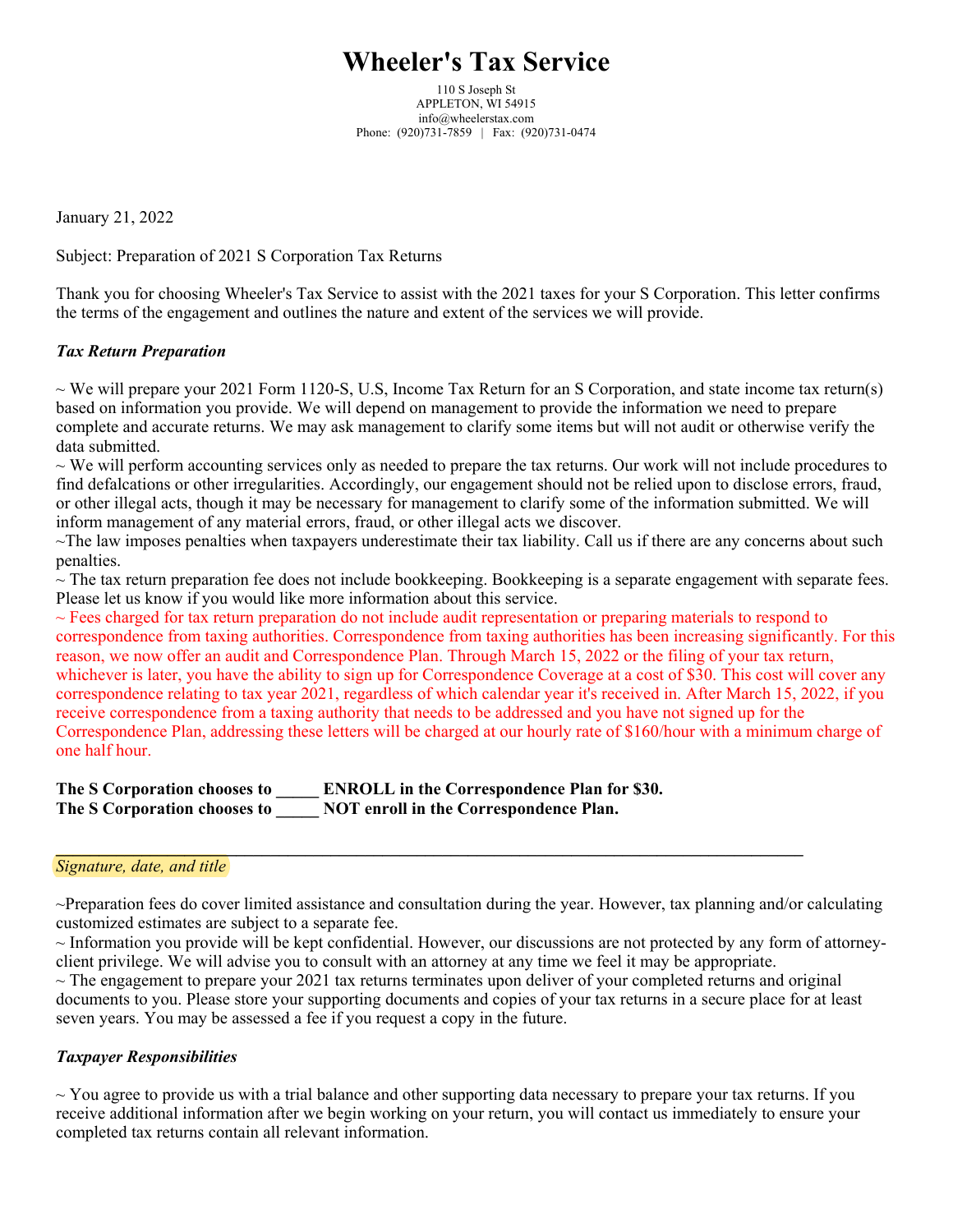# **Wheeler's Tax Service**

110 S Joseph St APPLETON, WI 54915 info@wheelerstax.com Phone: (920)731-7859 | Fax: (920)731-0474

January 21, 2022

Subject: Preparation of 2021 S Corporation Tax Returns

Thank you for choosing Wheeler's Tax Service to assist with the 2021 taxes for your S Corporation. This letter confirms the terms of the engagement and outlines the nature and extent of the services we will provide.

## *Tax Return Preparation*

 $\sim$  We will prepare your 2021 Form 1120-S, U.S, Income Tax Return for an S Corporation, and state income tax return(s) based on information you provide. We will depend on management to provide the information we need to prepare complete and accurate returns. We may ask management to clarify some items but will not audit or otherwise verify the data submitted.

 $\sim$  We will perform accounting services only as needed to prepare the tax returns. Our work will not include procedures to find defalcations or other irregularities. Accordingly, our engagement should not be relied upon to disclose errors, fraud, or other illegal acts, though it may be necessary for management to clarify some of the information submitted. We will inform management of any material errors, fraud, or other illegal acts we discover.

 $\sim$ The law imposes penalties when taxpayers underestimate their tax liability. Call us if there are any concerns about such penalties.

 $\sim$  The tax return preparation fee does not include bookkeeping. Bookkeeping is a separate engagement with separate fees. Please let us know if you would like more information about this service.

 $\sim$  Fees charged for tax return preparation do not include audit representation or preparing materials to respond to correspondence from taxing authorities. Correspondence from taxing authorities has been increasing significantly. For this reason, we now offer an audit and Correspondence Plan. Through March 15, 2022 or the filing of your tax return, whichever is later, you have the ability to sign up for Correspondence Coverage at a cost of \$30. This cost will cover any correspondence relating to tax year 2021, regardless of which calendar year it's received in. After March 15, 2022, if you receive correspondence from a taxing authority that needs to be addressed and you have not signed up for the Correspondence Plan, addressing these letters will be charged at our hourly rate of \$160/hour with a minimum charge of one half hour.

| The S Corporation chooses to | <b>ENROLL</b> in the Correspondence Plan for \$30. |
|------------------------------|----------------------------------------------------|
| The S Corporation chooses to | NOT enroll in the Correspondence Plan.             |

#### *Signature, date, and title*

~Preparation fees do cover limited assistance and consultation during the year. However, tax planning and/or calculating customized estimates are subject to a separate fee.

**\_\_\_\_\_\_\_\_\_\_\_\_\_\_\_\_\_\_\_\_\_\_\_\_\_\_\_\_\_\_\_\_\_\_\_\_\_\_\_\_\_\_\_\_\_\_\_\_\_\_\_\_\_\_\_\_\_\_\_\_\_\_\_\_\_\_\_\_\_\_\_\_\_\_\_\_\_\_\_\_\_\_\_\_\_\_\_**

 $\sim$  Information you provide will be kept confidential. However, our discussions are not protected by any form of attorneyclient privilege. We will advise you to consult with an attorney at any time we feel it may be appropriate.

 $\sim$  The engagement to prepare your 2021 tax returns terminates upon deliver of your completed returns and original documents to you. Please store your supporting documents and copies of your tax returns in a secure place for at least seven years. You may be assessed a fee if you request a copy in the future.

## *Taxpayer Responsibilities*

 $\sim$  You agree to provide us with a trial balance and other supporting data necessary to prepare your tax returns. If you receive additional information after we begin working on your return, you will contact us immediately to ensure your completed tax returns contain all relevant information.